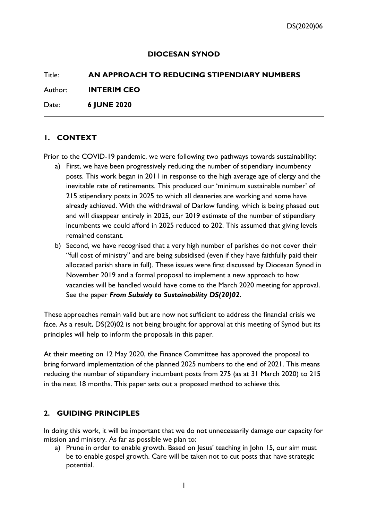#### **DIOCESAN SYNOD**

# Title: **AN APPROACH TO REDUCING STIPENDIARY NUMBERS** Author: **INTERIM CEO**

Date: **6 JUNE 2020**

#### **1. CONTEXT**

Prior to the COVID-19 pandemic, we were following two pathways towards sustainability:

- a) First, we have been progressively reducing the number of stipendiary incumbency posts. This work began in 2011 in response to the high average age of clergy and the inevitable rate of retirements. This produced our 'minimum sustainable number' of 215 stipendiary posts in 2025 to which all deaneries are working and some have already achieved. With the withdrawal of Darlow funding, which is being phased out and will disappear entirely in 2025, our 2019 estimate of the number of stipendiary incumbents we could afford in 2025 reduced to 202. This assumed that giving levels remained constant.
- b) Second, we have recognised that a very high number of parishes do not cover their "full cost of ministry" and are being subsidised (even if they have faithfully paid their allocated parish share in full). These issues were first discussed by Diocesan Synod in November 2019 and a formal proposal to implement a new approach to how vacancies will be handled would have come to the March 2020 meeting for approval. See the paper *From Subsidy to Sustainability DS(20)02.*

These approaches remain valid but are now not sufficient to address the financial crisis we face. As a result, DS(20)02 is not being brought for approval at this meeting of Synod but its principles will help to inform the proposals in this paper.

At their meeting on 12 May 2020, the Finance Committee has approved the proposal to bring forward implementation of the planned 2025 numbers to the end of 2021. This means reducing the number of stipendiary incumbent posts from 275 (as at 31 March 2020) to 215 in the next 18 months. This paper sets out a proposed method to achieve this.

#### **2. GUIDING PRINCIPLES**

In doing this work, it will be important that we do not unnecessarily damage our capacity for mission and ministry. As far as possible we plan to:

a) Prune in order to enable growth. Based on Jesus' teaching in John 15, our aim must be to enable gospel growth. Care will be taken not to cut posts that have strategic potential.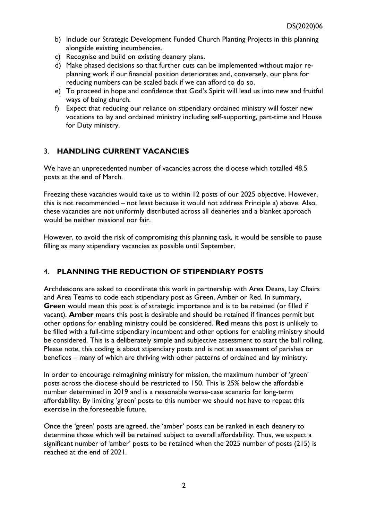- b) Include our Strategic Development Funded Church Planting Projects in this planning alongside existing incumbencies.
- c) Recognise and build on existing deanery plans.
- d) Make phased decisions so that further cuts can be implemented without major replanning work if our financial position deteriorates and, conversely, our plans for reducing numbers can be scaled back if we can afford to do so.
- e) To proceed in hope and confidence that God's Spirit will lead us into new and fruitful ways of being church.
- f) Expect that reducing our reliance on stipendiary ordained ministry will foster new vocations to lay and ordained ministry including self-supporting, part-time and House for Duty ministry.

## 3. **HANDLING CURRENT VACANCIES**

We have an unprecedented number of vacancies across the diocese which totalled 48.5 posts at the end of March.

Freezing these vacancies would take us to within 12 posts of our 2025 objective. However, this is not recommended – not least because it would not address Principle a) above. Also, these vacancies are not uniformly distributed across all deaneries and a blanket approach would be neither missional nor fair.

However, to avoid the risk of compromising this planning task, it would be sensible to pause filling as many stipendiary vacancies as possible until September.

# 4. **PLANNING THE REDUCTION OF STIPENDIARY POSTS**

Archdeacons are asked to coordinate this work in partnership with Area Deans, Lay Chairs and Area Teams to code each stipendiary post as Green, Amber or Red. In summary, **Green** would mean this post is of strategic importance and is to be retained (or filled if vacant). **Amber** means this post is desirable and should be retained if finances permit but other options for enabling ministry could be considered. **Red** means this post is unlikely to be filled with a full-time stipendiary incumbent and other options for enabling ministry should be considered. This is a deliberately simple and subjective assessment to start the ball rolling. Please note, this coding is about stipendiary posts and is not an assessment of parishes or benefices – many of which are thriving with other patterns of ordained and lay ministry.

In order to encourage reimagining ministry for mission, the maximum number of 'green' posts across the diocese should be restricted to 150. This is 25% below the affordable number determined in 2019 and is a reasonable worse-case scenario for long-term affordability. By limiting 'green' posts to this number we should not have to repeat this exercise in the foreseeable future.

Once the 'green' posts are agreed, the 'amber' posts can be ranked in each deanery to determine those which will be retained subject to overall affordability. Thus, we expect a significant number of 'amber' posts to be retained when the 2025 number of posts (215) is reached at the end of 2021.